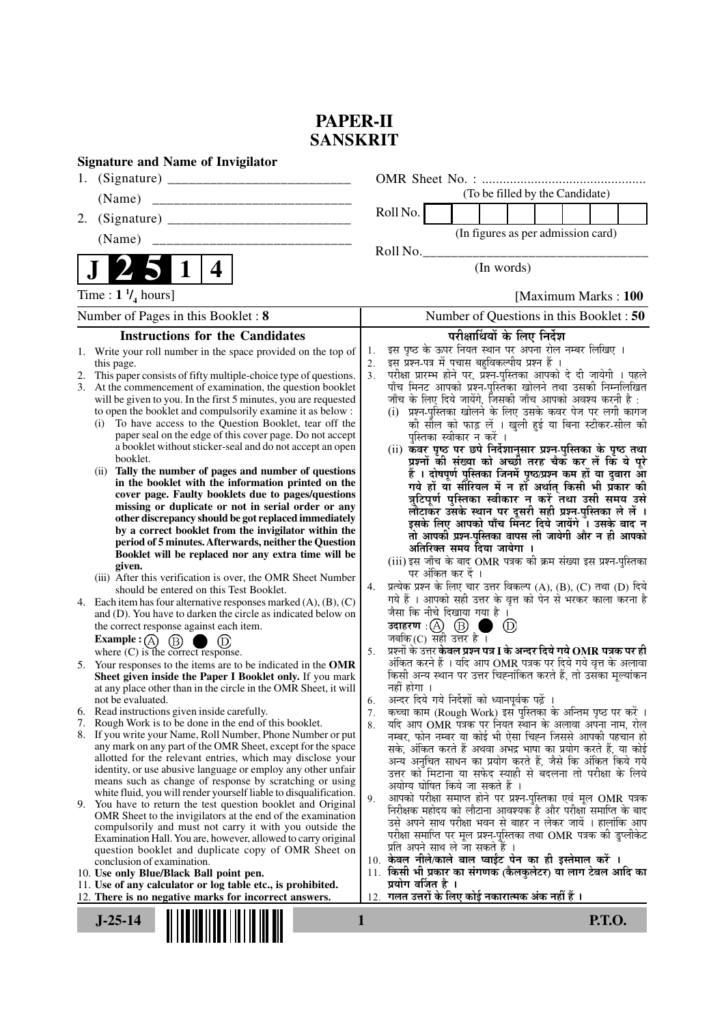## **PAPER-II SANSKRIT**

|    | <b>Signature and Name of Invigilator</b>                                                                                                                                                                                                                                                                                                                                                                                                                                                                                                                                                                                                                                                                                                                                                                                                                                                                                                                                                                                                                                                                                                                                                                                                                                                                                                                                                                                                                                                                                                                                                                                                                                                                                                                                                                                                                                                                                                                                                            |                                                          |                                                                                                                                                                                                                                                                                                                                                                                                                                                                                                                                                                                                                                                                                                                                                                                                                                                                                                                                                                                                                                                                                                                                                                                                                                                                                                                                                              |                   |                                                                                                                                                                                                                                                                                                                                                                                                                                                                                                                                                                                             |               |                      |               |  |
|----|-----------------------------------------------------------------------------------------------------------------------------------------------------------------------------------------------------------------------------------------------------------------------------------------------------------------------------------------------------------------------------------------------------------------------------------------------------------------------------------------------------------------------------------------------------------------------------------------------------------------------------------------------------------------------------------------------------------------------------------------------------------------------------------------------------------------------------------------------------------------------------------------------------------------------------------------------------------------------------------------------------------------------------------------------------------------------------------------------------------------------------------------------------------------------------------------------------------------------------------------------------------------------------------------------------------------------------------------------------------------------------------------------------------------------------------------------------------------------------------------------------------------------------------------------------------------------------------------------------------------------------------------------------------------------------------------------------------------------------------------------------------------------------------------------------------------------------------------------------------------------------------------------------------------------------------------------------------------------------------------------------|----------------------------------------------------------|--------------------------------------------------------------------------------------------------------------------------------------------------------------------------------------------------------------------------------------------------------------------------------------------------------------------------------------------------------------------------------------------------------------------------------------------------------------------------------------------------------------------------------------------------------------------------------------------------------------------------------------------------------------------------------------------------------------------------------------------------------------------------------------------------------------------------------------------------------------------------------------------------------------------------------------------------------------------------------------------------------------------------------------------------------------------------------------------------------------------------------------------------------------------------------------------------------------------------------------------------------------------------------------------------------------------------------------------------------------|-------------------|---------------------------------------------------------------------------------------------------------------------------------------------------------------------------------------------------------------------------------------------------------------------------------------------------------------------------------------------------------------------------------------------------------------------------------------------------------------------------------------------------------------------------------------------------------------------------------------------|---------------|----------------------|---------------|--|
|    |                                                                                                                                                                                                                                                                                                                                                                                                                                                                                                                                                                                                                                                                                                                                                                                                                                                                                                                                                                                                                                                                                                                                                                                                                                                                                                                                                                                                                                                                                                                                                                                                                                                                                                                                                                                                                                                                                                                                                                                                     |                                                          |                                                                                                                                                                                                                                                                                                                                                                                                                                                                                                                                                                                                                                                                                                                                                                                                                                                                                                                                                                                                                                                                                                                                                                                                                                                                                                                                                              |                   |                                                                                                                                                                                                                                                                                                                                                                                                                                                                                                                                                                                             |               |                      |               |  |
|    | (Name)                                                                                                                                                                                                                                                                                                                                                                                                                                                                                                                                                                                                                                                                                                                                                                                                                                                                                                                                                                                                                                                                                                                                                                                                                                                                                                                                                                                                                                                                                                                                                                                                                                                                                                                                                                                                                                                                                                                                                                                              |                                                          |                                                                                                                                                                                                                                                                                                                                                                                                                                                                                                                                                                                                                                                                                                                                                                                                                                                                                                                                                                                                                                                                                                                                                                                                                                                                                                                                                              |                   | (To be filled by the Candidate)                                                                                                                                                                                                                                                                                                                                                                                                                                                                                                                                                             |               |                      |               |  |
| 2. |                                                                                                                                                                                                                                                                                                                                                                                                                                                                                                                                                                                                                                                                                                                                                                                                                                                                                                                                                                                                                                                                                                                                                                                                                                                                                                                                                                                                                                                                                                                                                                                                                                                                                                                                                                                                                                                                                                                                                                                                     |                                                          | Roll No.                                                                                                                                                                                                                                                                                                                                                                                                                                                                                                                                                                                                                                                                                                                                                                                                                                                                                                                                                                                                                                                                                                                                                                                                                                                                                                                                                     |                   |                                                                                                                                                                                                                                                                                                                                                                                                                                                                                                                                                                                             |               |                      |               |  |
|    | (Name)                                                                                                                                                                                                                                                                                                                                                                                                                                                                                                                                                                                                                                                                                                                                                                                                                                                                                                                                                                                                                                                                                                                                                                                                                                                                                                                                                                                                                                                                                                                                                                                                                                                                                                                                                                                                                                                                                                                                                                                              |                                                          |                                                                                                                                                                                                                                                                                                                                                                                                                                                                                                                                                                                                                                                                                                                                                                                                                                                                                                                                                                                                                                                                                                                                                                                                                                                                                                                                                              |                   | (In figures as per admission card)                                                                                                                                                                                                                                                                                                                                                                                                                                                                                                                                                          |               |                      |               |  |
|    | $\vert 1 \vert$<br>4                                                                                                                                                                                                                                                                                                                                                                                                                                                                                                                                                                                                                                                                                                                                                                                                                                                                                                                                                                                                                                                                                                                                                                                                                                                                                                                                                                                                                                                                                                                                                                                                                                                                                                                                                                                                                                                                                                                                                                                |                                                          | Roll No.                                                                                                                                                                                                                                                                                                                                                                                                                                                                                                                                                                                                                                                                                                                                                                                                                                                                                                                                                                                                                                                                                                                                                                                                                                                                                                                                                     |                   | (In words)                                                                                                                                                                                                                                                                                                                                                                                                                                                                                                                                                                                  |               |                      |               |  |
|    | Time : $1 \frac{1}{4}$ hours]                                                                                                                                                                                                                                                                                                                                                                                                                                                                                                                                                                                                                                                                                                                                                                                                                                                                                                                                                                                                                                                                                                                                                                                                                                                                                                                                                                                                                                                                                                                                                                                                                                                                                                                                                                                                                                                                                                                                                                       |                                                          |                                                                                                                                                                                                                                                                                                                                                                                                                                                                                                                                                                                                                                                                                                                                                                                                                                                                                                                                                                                                                                                                                                                                                                                                                                                                                                                                                              |                   |                                                                                                                                                                                                                                                                                                                                                                                                                                                                                                                                                                                             |               | [Maximum Marks: 100] |               |  |
|    | Number of Pages in this Booklet: 8                                                                                                                                                                                                                                                                                                                                                                                                                                                                                                                                                                                                                                                                                                                                                                                                                                                                                                                                                                                                                                                                                                                                                                                                                                                                                                                                                                                                                                                                                                                                                                                                                                                                                                                                                                                                                                                                                                                                                                  |                                                          |                                                                                                                                                                                                                                                                                                                                                                                                                                                                                                                                                                                                                                                                                                                                                                                                                                                                                                                                                                                                                                                                                                                                                                                                                                                                                                                                                              |                   | Number of Questions in this Booklet : 50                                                                                                                                                                                                                                                                                                                                                                                                                                                                                                                                                    |               |                      |               |  |
|    | <b>Instructions for the Candidates</b>                                                                                                                                                                                                                                                                                                                                                                                                                                                                                                                                                                                                                                                                                                                                                                                                                                                                                                                                                                                                                                                                                                                                                                                                                                                                                                                                                                                                                                                                                                                                                                                                                                                                                                                                                                                                                                                                                                                                                              |                                                          |                                                                                                                                                                                                                                                                                                                                                                                                                                                                                                                                                                                                                                                                                                                                                                                                                                                                                                                                                                                                                                                                                                                                                                                                                                                                                                                                                              |                   | परीक्षार्थियों के लिए निर्देश                                                                                                                                                                                                                                                                                                                                                                                                                                                                                                                                                               |               |                      |               |  |
| 2. | 1. Write your roll number in the space provided on the top of<br>this page.<br>This paper consists of fifty multiple-choice type of questions.<br>3. At the commencement of examination, the question booklet<br>will be given to you. In the first 5 minutes, you are requested<br>to open the booklet and compulsorily examine it as below :<br>To have access to the Question Booklet, tear off the<br>(i)<br>paper seal on the edge of this cover page. Do not accept<br>a booklet without sticker-seal and do not accept an open<br>booklet.<br>(ii) Tally the number of pages and number of questions<br>in the booklet with the information printed on the<br>cover page. Faulty booklets due to pages/questions<br>missing or duplicate or not in serial order or any<br>other discrepancy should be got replaced immediately<br>by a correct booklet from the invigilator within the<br>period of 5 minutes. Afterwards, neither the Question<br>Booklet will be replaced nor any extra time will be<br>given.<br>(iii) After this verification is over, the OMR Sheet Number<br>should be entered on this Test Booklet.<br>4. Each item has four alternative responses marked $(A)$ , $(B)$ , $(C)$<br>and (D). You have to darken the circle as indicated below on<br>the correct response against each item.<br>Example : $(A)$ $(B)$<br>(D)<br>. .<br>where $(C)$ is the correct response.<br>5. Your responses to the items are to be indicated in the OMR<br>Sheet given inside the Paper I Booklet only. If you mark<br>at any place other than in the circle in the OMR Sheet, it will<br>not be evaluated.<br>6. Read instructions given inside carefully.<br>7. Rough Work is to be done in the end of this booklet.<br>8. If you write your Name, Roll Number, Phone Number or put<br>any mark on any part of the OMR Sheet, except for the space<br>allotted for the relevant entries, which may disclose your<br>identity, or use abusive language or employ any other unfair | 1.<br>2.<br>3 <sub>1</sub><br>4.<br>5.<br>6.<br>7.<br>8. | इस पृष्ठ के ऊपर नियत स्थान पर अपना रोल नम्बर लिखिए ।<br>इस प्रश्न-पत्र में पचास बहुविकल्पीय प्रश्न हैं ।<br>परीक्षा प्रारम्भ होने पर, प्रॅश्न-पुस्तिका आपको दे दी जायेगी । पहले<br>पाँच मिनट आपको प्रश्न-पुस्तिका खोलने तथा उसकी निम्नलिखित<br>जाँच के लिए दिये जायेंगे, जिसकी जाँच आपको अवश्य करनी है :<br>(i)<br>(ii) कवर पृष्ठ पर छपे निर्देशानुसार प्रश्न-पुस्तिका के पृष्ठ तथा<br>(iii) इस जाँच के बाद OMR पत्रक की क्रम संख्या इस प्रश्न-पुस्तिका<br>प्रत्येक प्रश्न के लिए चार उत्तर विकल्प (A), (B), (C) तथा (D) दिये<br>गये हैं । आपको सही उत्तर के वृत्त को पेन से भरकर काला करना है<br>जैसा कि नीचे दिखाया गया है ।<br>उदाहरण : (A) (B) ।<br>जबकि $(C)$ सही उत्तर है ।<br>प्रश्नों के उत्तर <b>केवल प्रश्न पत्र I के अन्दर दिये गये OMR पत्रक पर ही</b><br>अंकित करने हैं । यदि आप OMR पत्रक पर दिये गये वृत्त के अलावा<br>किसी अन्य स्थान पर उत्तर चिह्नांकित करते हैं, तो उसँका मूल्यांकन<br>नहीं होगा ।<br>अन्दर दिये गये निर्देशों को ध्यानपूर्वक पढ़ें ।<br>कच्चा काम (Rough Work) इस पुस्तिका के अन्तिम पृष्ठ पर करें ।<br>यदि आप OMR पत्रक पर नियत स्थान के अलावा अपना नाम, रोल<br>नम्बर, फोन नम्बर या कोई भी ऐसा चिह्न जिससे आपकी पहचान हो<br>सके, अंकित करते हैं अथवा अभद्र भाषा का प्रयोग करते हैं, या कोई<br>अन्य अनुचित साधन का प्रयोग करते हैं, जैसे कि अंकित किये गये<br>उत्तर को मिटाना या सफेद स्याही से बदलना तो परीक्षा के लिये | पर अंकित कर दें । | प्रश्न-पुस्तिका खोलने के लिए उसके कवर पेज पर लगी कागज<br>की सील को फाड़ लें । खुली हुई या बिना स्टीकर-सील की<br>पुस्तिका स्वीकार न करें ।<br>प्रश्नों की संख्या को अच्छी तरह चैक कर लें कि ये पूरे<br>हैं । दोषपूर्ण पुस्तिका जिनमें पृष्ठ⁄प्रश्न कम हों या दुबारा आे<br>गये हों या सीरियल में न हों अर्थात् किसी भी प्रकार की<br>त्रुटिपूर्ण पुस्तिका स्वीकार न करें तथा उसी समय उसे<br>लौटाकर उसके स्थान पर दूसरी सही प्रश्न-पुस्तिका ले लें ।<br>इसके लिए आपको पाँच मिंनट दिये जायेंगे । उसके बाद न<br>तो आपकी प्रश्न-पुस्तिका वापस ली जायेगी और न ही आपको<br>अतिरिक्त समय दिया जायेगा । | $\circled{D}$ |                      |               |  |
|    | means such as change of response by scratching or using<br>white fluid, you will render yourself liable to disqualification.<br>9. You have to return the test question booklet and Original<br>OMR Sheet to the invigilators at the end of the examination<br>compulsorily and must not carry it with you outside the<br>Examination Hall. You are, however, allowed to carry original<br>question booklet and duplicate copy of OMR Sheet on<br>conclusion of examination.<br>10. Use only Blue/Black Ball point pen.<br>11. Use of any calculator or log table etc., is prohibited.<br>12. There is no negative marks for incorrect answers.                                                                                                                                                                                                                                                                                                                                                                                                                                                                                                                                                                                                                                                                                                                                                                                                                                                                                                                                                                                                                                                                                                                                                                                                                                                                                                                                                     | 9.                                                       | अयोग्य घोषित किये जा सकते हैं ।<br>आपको परीक्षा समाप्त होने पर प्रश्न-पुस्तिका एवं मूल OMR पत्रक<br>निरीक्षक महोदय को लौटाना आवश्यक है और परीक्षा समाप्ति के बाद<br>उसे अपने साथ परीक्षा भवन से बाहर न लेकर जायें । हालांकि आप<br>परीक्षा समाप्ति पर मूल प्रश्न-पुस्तिका तथा OMR पत्रक की डुप्लीकेट<br>प्रति अपने साथ ले जा सकते हैं ।<br>10. केवल नीले/काले बाल प्वाईंट पेन का ही इस्तेमाल करें ।<br>11. किसी भी प्रकार का संगणक (कैलकुलेटर) या लाग टेबल आदि का<br>प्रयोग वर्जित है ।<br>12. गलत उत्तरों के लिए कोई नकारात्मक अंक नहीं हैं ।                                                                                                                                                                                                                                                                                                                                                                                                                                                                                                                                                                                                                                                                                                                                                                                                                |                   |                                                                                                                                                                                                                                                                                                                                                                                                                                                                                                                                                                                             |               |                      |               |  |
|    | $J-25-14$                                                                                                                                                                                                                                                                                                                                                                                                                                                                                                                                                                                                                                                                                                                                                                                                                                                                                                                                                                                                                                                                                                                                                                                                                                                                                                                                                                                                                                                                                                                                                                                                                                                                                                                                                                                                                                                                                                                                                                                           | 1                                                        |                                                                                                                                                                                                                                                                                                                                                                                                                                                                                                                                                                                                                                                                                                                                                                                                                                                                                                                                                                                                                                                                                                                                                                                                                                                                                                                                                              |                   |                                                                                                                                                                                                                                                                                                                                                                                                                                                                                                                                                                                             |               |                      | <b>P.T.O.</b> |  |
|    |                                                                                                                                                                                                                                                                                                                                                                                                                                                                                                                                                                                                                                                                                                                                                                                                                                                                                                                                                                                                                                                                                                                                                                                                                                                                                                                                                                                                                                                                                                                                                                                                                                                                                                                                                                                                                                                                                                                                                                                                     |                                                          |                                                                                                                                                                                                                                                                                                                                                                                                                                                                                                                                                                                                                                                                                                                                                                                                                                                                                                                                                                                                                                                                                                                                                                                                                                                                                                                                                              |                   |                                                                                                                                                                                                                                                                                                                                                                                                                                                                                                                                                                                             |               |                      |               |  |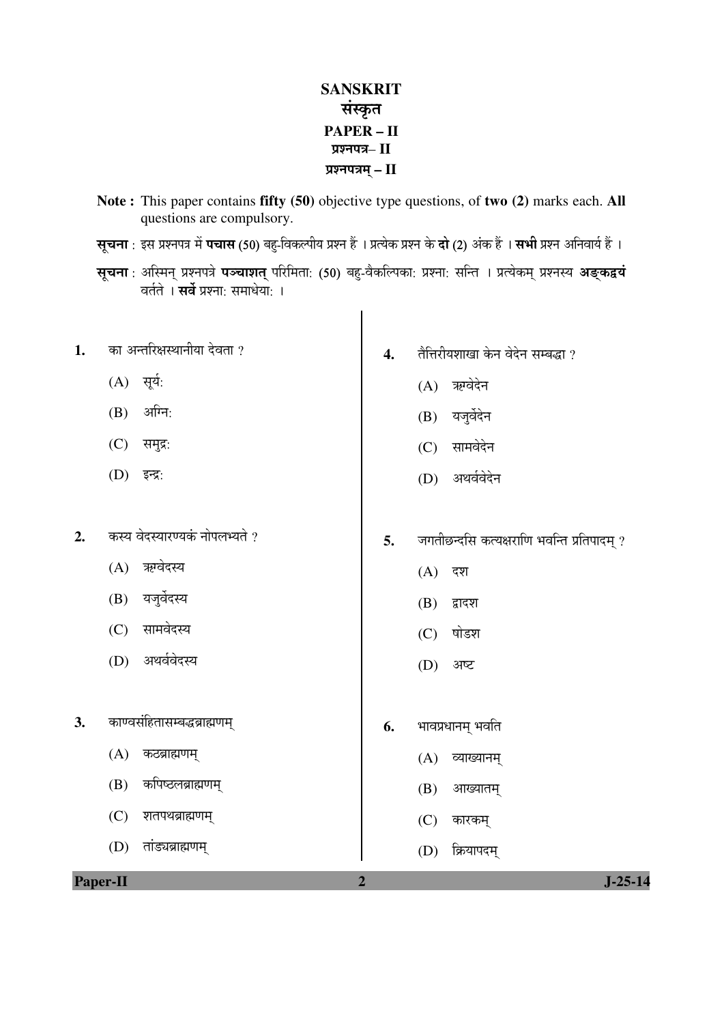## **SANSKRIT** संस्कृत **PAPER – II**  प्रश्नपत्र– II ¯ÖÏ¿®Ö¯Ö¡Ö´ÖË **– II**

- **Note :** This paper contains **fifty (50)** objective type questions, of **two (2)** marks each. **All**  questions are compulsory.
- **सूचना** : इस प्रश्नपत्र में **पचास (50)** बहु-विकल्पीय प्रश्न हैं । प्रत्येक प्रश्न के **दो (2)** अंक हैं । **सभी** प्रश्न अनिवार्य हैं ।
- सूचना : अस्मिन् प्रश्नपत्रे **पञ्चाशत्** परिमिता: (50) बहु-वैकल्पिका: प्रश्ना: सन्ति । प्रत्येकम् प्रश्नस्य **अङ्कद्वयं** ेवर्तते । **सर्वे** प्रश्ना: समाधेयो: ।

 $\mathsf{l}$ 

| 1. | का अन्तरिक्षस्थानीया देवता ?   | $\overline{4}$ . | तैत्तिरीयशाखा केन वेदेन सम्बद्धा ?         |
|----|--------------------------------|------------------|--------------------------------------------|
|    | $(A)$ सूर्य:                   |                  | ऋग्वेदेन<br>(A)                            |
|    | अग्नि:<br>(B)                  |                  | यजुर्वेदेन<br>(B)                          |
|    | (C)<br>समुद्र:                 |                  | सामवेदेन<br>(C)                            |
|    | (D) इन्द्र:                    |                  | (D) अथर्ववेदेन                             |
|    |                                |                  |                                            |
| 2. | कस्य वेदस्यारण्यकं नोपलभ्यते ? | 5.               | जगतीछन्दसि कत्यक्षराणि भवन्ति प्रतिपादम् ? |
|    | (A) ऋग्वेदस्य                  |                  | (A)<br>दश                                  |
|    | (B) यजुर्वेदस्य                |                  | (B)<br>द्वादश                              |
|    | सामवेदस्य<br>(C)               |                  | षोडश<br>(C)                                |
|    | अथर्ववेदस्य<br>(D)             |                  | (D)<br>अष्ट                                |
|    |                                |                  |                                            |
| 3. | काण्वसंहितासम्बद्धब्राह्मणम्   | 6.               | भावप्रधानम् भवति                           |
|    | (A)<br>कठब्राह्मणम्            |                  | (A) व्याख्यानम्                            |
|    | कपिष्ठलब्राह्मणम्<br>(B)       |                  | आख्यातम्<br>(B)                            |
|    | (C)<br>शतपथब्राह्मणम्          |                  | (C)<br>कारकम्                              |
|    | तांड्यब्राह्मणम्<br>(D)        |                  | क्रियापदम्<br>(D)                          |
|    | Paper-II                       | $\overline{2}$   | $J - 25 - 14$                              |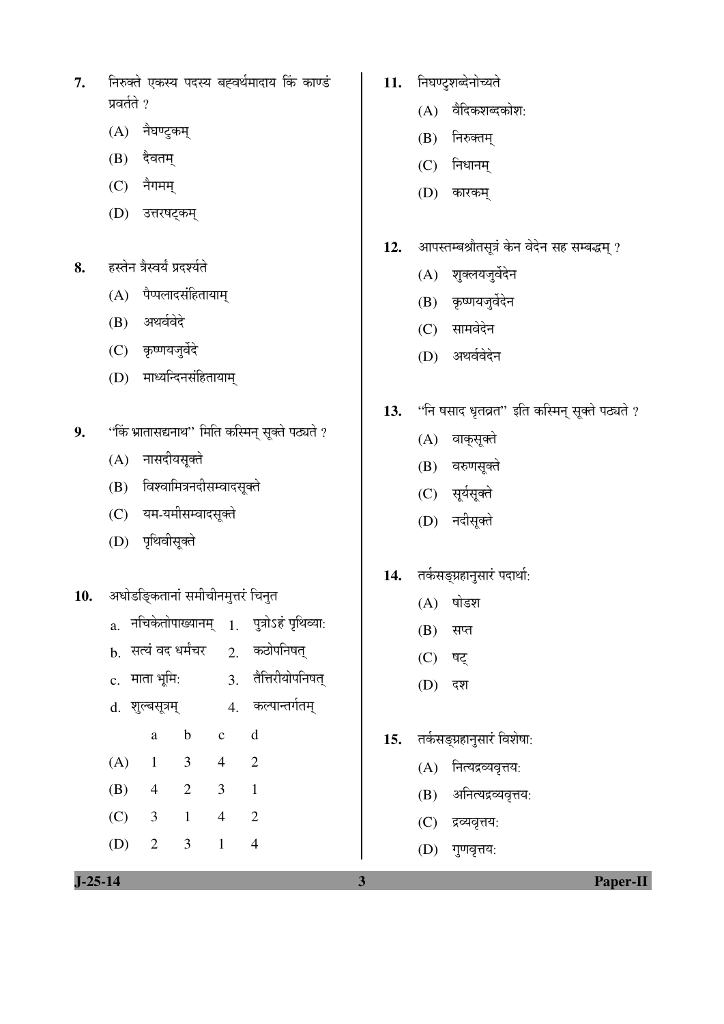- 7. निरुक्ते एकस्य पदस्य बह्वर्थमादाय किं काण्डं प्रवर्तते ?
	- $(A)$  नैघण्ट्कम्
	- $(B)$  देवतम्
	- $(C)$  नैगमम्
	- (D) उत्तरषट्कम्
- 8. हस्तेन त्रैस्वर्यं प्रदर्श्यते
	- $(A)$  पैप्पलादसंहितायाम्
	- (B) अथर्ववेदे
	- (C) कृष्णयजुर्वेदे
	- (D) माध्यन्दिनसंहितायाम्
- 9. "किं भ्रातासद्यनाथ" मिति कस्मिन् सूक्ते पठ्यते ?
	- $(A)$  नासदीयसूक्ते
	- (B) विश्वामित्रनदीसम्वादसूक्ते
	- (C) यम-यमीसम्वादसुक्ते
	- (D) पृथिवीसूक्ते
- 10. अधोडङ्कितानां समीचीनमृत्तरं चिनुत
	- $a.$  नचिकेतोपाख्यानम्  $1.$  पुत्रोऽहं पृथिव्या:
	- $b.$  सत्यं वद धर्मंचर  $2.$  कठोपनिषत्
	- $c.$  माता भूमि:  $\overline{3.}$  तैत्तिरीयोपनिषत्
	- d. ¿Ö㻲ÖÃÖæ¡Ö´ÖË 4. Ûú»¯ÖÖ®ŸÖÝÖÔŸÖ´ÖË
- a b c d
	- (A) 1 3 4 2
	- (B) 4 2 3 1
	- (C) 3 1 4 2 (D) 2 3 1 4
- 11. निघण्टुशब्देनोच्यते
	- $(A)$  वैदिकशब्दकोश:
	- $(B)$  निरुक्तम्
	- $(C)$  निधानम्
	- (D) कारकम्
- 12. आपस्तम्बश्रौतसूत्रं केन वेदेन सह सम्बद्धम् ?
	- (A) शुक्लयजुर्वेदेन
	- $(B)$  कृष्णयजुर्वेदेन
	- (C) सामवेदेन
	- (D) अथर्ववेदेन
- 13. "नि षसाद धृतव्रत" इति कस्मिन् सूक्ते पठ्यते ?
	- (A) वाक्सूक्ते
	- (B) वरुणसूक्ते
	- (C) सूर्यसूक्ते
	- (D) नदीसूक्ते
- 14. तर्कसङ्ग्रहानुसारं पदार्था:
	- $(A)$  षोडश
	- $(B)$  सप्त
	- (C) षट्
	- (D) दश
- 15. तर्कसङ्ग्रहानुसारं विशेषा:
	- $(A)$  नित्यद्रव्यवृत्तय:
	- (B) अनित्यद्रव्यवृत्तय:
	- (C) द्रव्यवृत्तय:
	- (D) गुणवृत्तय: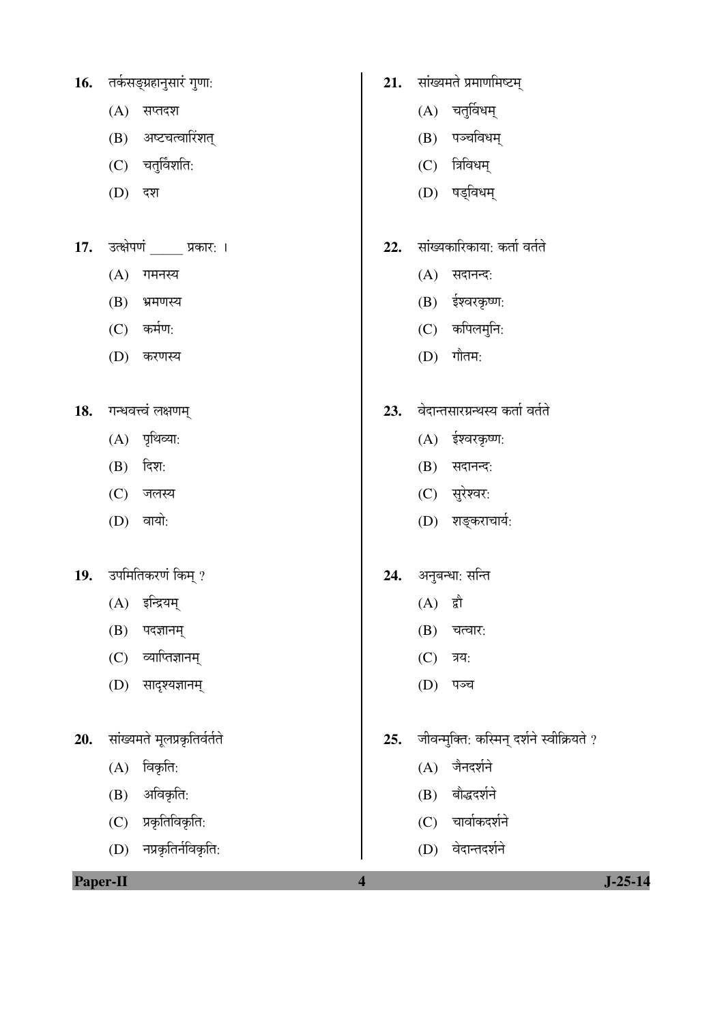| 16. | तकेसङ्ग्रहानुसार गुणा: |  |
|-----|------------------------|--|
|     |                        |  |

- $(A)$  सप्तदश
- $(B)$  अष्टचत्वारिंशत्
- $(C)$  चतुर्विंशति:
- (D) दश
- 17. उत्क्षेपणं प्रकार: ।
	- $(A)$  गमनस्य
	- $(B)$  भ्रमणस्य
	- $(C)$  कर्मण:
	- (D) करणस्य
- 18. गन्धवत्त्वं लक्षणम्
	- $(A)$  पृथिव्या:
	- $(B)$  दिश:
	- $(C)$  जलस्य
	- $(D)$  वायो:
- 19. उपमितिकरणं किम् ?
	- (A) इन्द्रियम्
	- $(B)$  पदज्ञानम्
	- $(C)$  व्याप्तिज्ञानम्
	- (D) सादृश्यज्ञानम्
- 20. सांख्यमते मूलप्रकृतिर्वर्तते
	- $(A)$  विकृति:
	- $(B)$  अविकृति:
	- $(C)$  प्रकृतिविकृति:
	- $(D)$  नप्रकृतिर्नविकृति:
- 21. सांख्यमते प्रमाणमिष्टम्
	- $(A)$  चतुर्विधम्
	- $(B)$  पञ्चविधम्
	- $(C)$  त्रिविधम्
	- (D) षड्विधम्
- 22. सांख्यकारिकाया: कर्ता वर्तते
	- $(A)$  सदानन्द:
	- $(B)$  ईश्वरकृष्ण:
	- $(C)$  कपिलमुनि:
	- $(D)$  गौतम:
- 23. वेदान्तसारग्रन्थस्य कर्ता वर्तते
	- $(A)$  ईश्वरकृष्ण:
	- $(B)$  सदानन्द:
	- (C) सुरेश्वर:
	- (D) शङ्कराचार्य:
- 24. अनुबन्धा: सन्ति
	- $(A)$  द्वौ
	- $(B)$  चत्वार:
	- $(C)$  त्रय:
	- $(D)$  पञ्च
- 25. जीवन्मुक्ति: कस्मिन् दर्शने स्वीक्रियते ?
	- $(A)$  जैनदर्शने
	- (B) बौद्धदर्शने
	- $(C)$  चार्वाकदर्शने
	- (D) वेदान्तदर्शने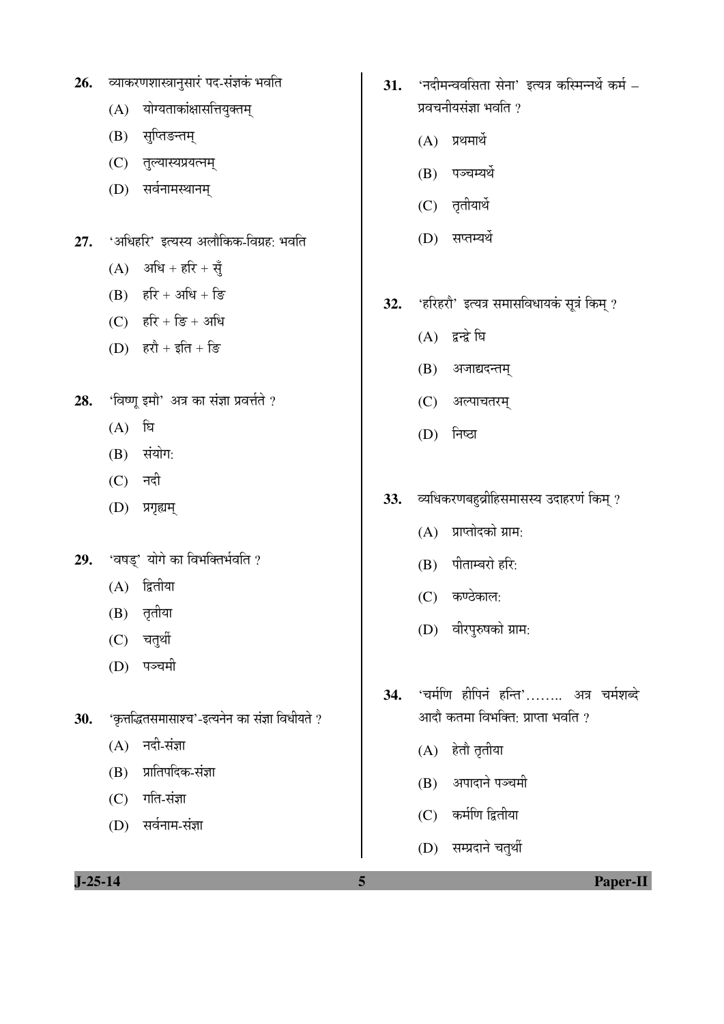| $J-25-14$ |                                                  | 5   | <b>Paper-II</b>                            |
|-----------|--------------------------------------------------|-----|--------------------------------------------|
|           |                                                  |     | (D) सम्प्रदाने चतुर्थी                     |
|           | सर्वनाम-संज्ञा<br>(D)                            |     | (C) कर्मणि द्वितीया                        |
|           | गति-संज्ञा<br>(C)                                |     | (B)                                        |
|           | प्रातिपदिक-संज्ञा<br>(B)                         |     | अपादाने पञ्चमी                             |
|           | नदी-संज्ञा<br>(A)                                |     | (A) हेतो तृतीया                            |
| 30.       | 'कृत्तद्धितसमासाश्च'-इत्यनेन का संज्ञा विधीयते ? |     | आदौ कतमा विभक्ति: प्राप्ता भवति ?          |
|           |                                                  | 34. | 'चर्मणि हीपिनं हन्ति' अत्र चर्मशब्दे       |
|           | पञ्चमी<br>(D)                                    |     |                                            |
|           | (C) चतुर्थी                                      |     | (D) वीरपुरुषको ग्राम:                      |
|           | (A)<br>तृतीया<br>(B)                             |     | $(C)$ कण्ठेकाल:                            |
| 29.       | 'वषड्' योगे का विभक्तिर्भवति ?<br>द्वितीया       |     | (B) पीताम्बरो हरि:                         |
|           |                                                  |     | प्राप्तोदको ग्राम:<br>(A)                  |
|           | (D)<br>प्रगृह्यम्                                |     |                                            |
|           | नदी<br>(C)                                       | 33. | व्यधिकरणबहुव्रीहिसमासस्य उदाहरणं किम् ?    |
|           | संयोग:<br>(B)                                    |     |                                            |
|           | घि<br>(A)                                        |     | निष्ठा<br>(D)                              |
| 28.       | 'विष्णू इमौ' अत्र का संज्ञा प्रवर्त्तते ?        |     | (C) अल्पाचतरम्                             |
|           |                                                  |     | (B) अजाद्यदन्तम्                           |
|           | (D) हरौ + इति + डि                               |     | (A) द्वन्द्वे घि                           |
|           | (C) हरि + डि + अधि                               | 32. | 'हरिहरौ' इत्यत्र समासविधायकं सूत्रं किम् ? |
|           | हरि + अधि + डि<br>(B)                            |     |                                            |
| 27.       | $(A)$ अधि + हरि + सुँ                            |     |                                            |
|           | 'अधिहरि' इत्यस्य अलौकिक-विग्रह: भवति             |     | (D) सप्तम्यर्थे                            |
|           | सर्वनामस्थानम्<br>(D)                            |     | (C) तृतीयार्थे                             |
|           | (C)<br>तुल्यास्यप्रयत्नम्                        |     | (B) पञ्चम्यर्थे                            |
|           | सुप्तिङन्तम्<br>(B)                              |     | $(A)$ प्रथमार्थे                           |
|           | योग्यताकांक्षासत्तियुक्तम्<br>(A)                |     | प्रवचनीयसंज्ञा भवति ?                      |
|           |                                                  |     |                                            |

31. 'नदीमन्ववसिता सेना' इत्यत्र कस्मिन्नर्थे कर्म –

26. व्याकरणशास्त्रानुसारं पद-संज्ञकं भवति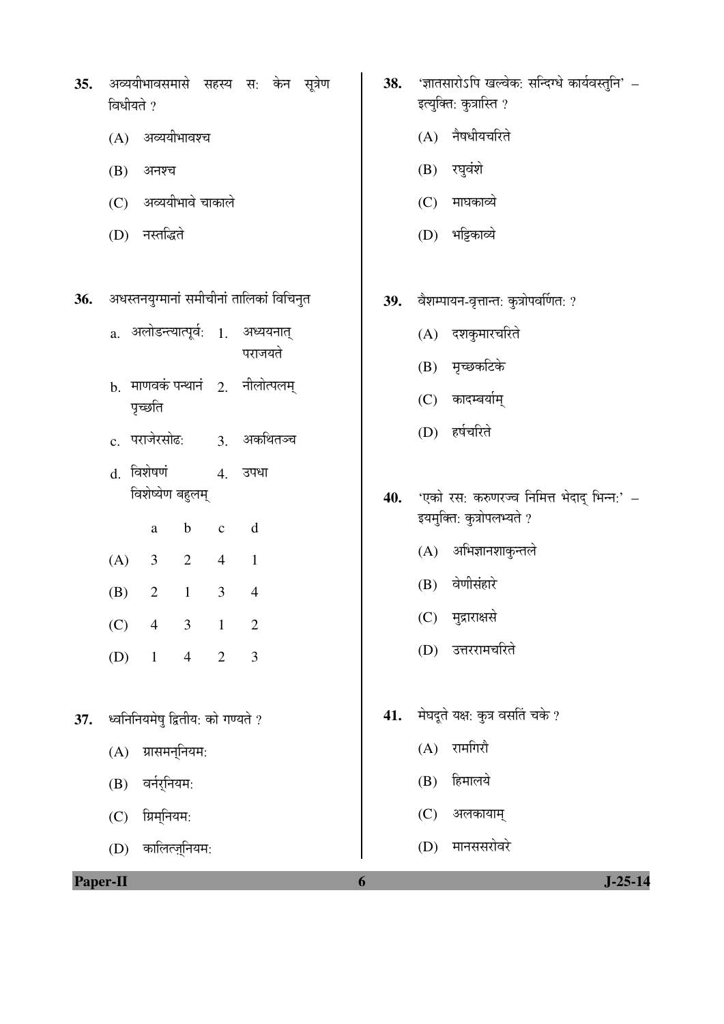|     | विधीयते ?                                                                 |     | इत्युक्ति: कुत्रास्ति ?                                                 |  |  |  |
|-----|---------------------------------------------------------------------------|-----|-------------------------------------------------------------------------|--|--|--|
|     | (A) अव्ययीभावश्च                                                          |     | (A) नैषधीयचरिते                                                         |  |  |  |
|     | (B)<br>अनश्च                                                              |     | (B) रघुवंशे                                                             |  |  |  |
|     | (C) अव्ययीभावे चाकाले                                                     |     | (C) माघकाव्ये                                                           |  |  |  |
|     | (D) नस्तद्धिते                                                            |     | (D) भट्टिकाव्ये                                                         |  |  |  |
|     |                                                                           |     |                                                                         |  |  |  |
| 36. | अधस्तनयुग्मानां समीचीनां तालिकां विचिनुत                                  | 39. | वैशम्पायन-वृत्तान्त: कुत्रोपवर्णित: ?                                   |  |  |  |
|     | a. अलोडन्त्यात्पूर्व: 1. अध्ययनात्                                        |     | (A) दशकुमारचरिते                                                        |  |  |  |
|     | पराजयते                                                                   |     | (B) मृच्छकटिके                                                          |  |  |  |
|     | b. माणवकं पन्थानं 2. नीलोत्पलम्<br>पृच्छति                                |     | (C) कादम्बर्याम्                                                        |  |  |  |
|     | c. पराजेरसोढ:<br>3. अकथितञ्च                                              |     | (D) हर्षचरिते                                                           |  |  |  |
|     | d. विशेषणं<br>4. उपधा                                                     |     |                                                                         |  |  |  |
|     | विशेष्येण बहुलम्                                                          | 40. | 'एको रस: करुणरज्व निमित्त भेदाद् भिन्न:' –<br>इयमुक्ति: कुत्रोपलभ्यते ? |  |  |  |
|     | $\mathbf b$<br>d<br>$\mathbf{C}$<br>a                                     |     | (A) अभिज्ञानशाकुन्तले                                                   |  |  |  |
|     | (A)<br>$\overline{2}$<br>$\mathfrak{Z}$<br>$\overline{4}$<br>$\mathbf{1}$ |     |                                                                         |  |  |  |
|     | $\mathbf{1}$<br>$\mathfrak{Z}$<br>(B)<br>2<br>$\overline{4}$              |     | (B) वेणीसंहारे                                                          |  |  |  |
|     | $\mathfrak{Z}$<br>$\mathbf{1}$<br>$\overline{2}$<br>(C)<br>$\overline{4}$ |     | मुद्राराक्षसे<br>(C)                                                    |  |  |  |
|     | 3<br>(D)<br>$\overline{1}$<br>$4\overline{ }$<br>$\overline{2}$           |     | (D)<br>उत्तररामचरिते                                                    |  |  |  |
|     |                                                                           |     |                                                                         |  |  |  |
| 37. | ध्वनिनियमेषु द्वितीय: को गण्यते ?                                         | 41. | मेघदूते यक्ष: कुत्र वसतिं चके ?                                         |  |  |  |
|     | ग्रासमन्नियम:<br>(A)                                                      |     | (A) रामगिरौ                                                             |  |  |  |
|     | वर्नर्नियम:<br>(B)                                                        |     | हिमालये<br>(B)                                                          |  |  |  |
|     | $(C)$ ग्रिम्नियम:                                                         |     | अलकायाम्<br>(C)                                                         |  |  |  |
|     | कालित्ज़्नियम:<br>(D)                                                     |     | मानससरोवरे<br>(D)                                                       |  |  |  |
|     | Paper-II<br>$J-25-14$<br>6                                                |     |                                                                         |  |  |  |

**38.** 'ज्ञातसारोऽपि खल्वेक: सन्दिग्धे कार्यवस्तुनि' –

**35.** अव्ययीभावसमासे सहस्य स: केन सूत्रेण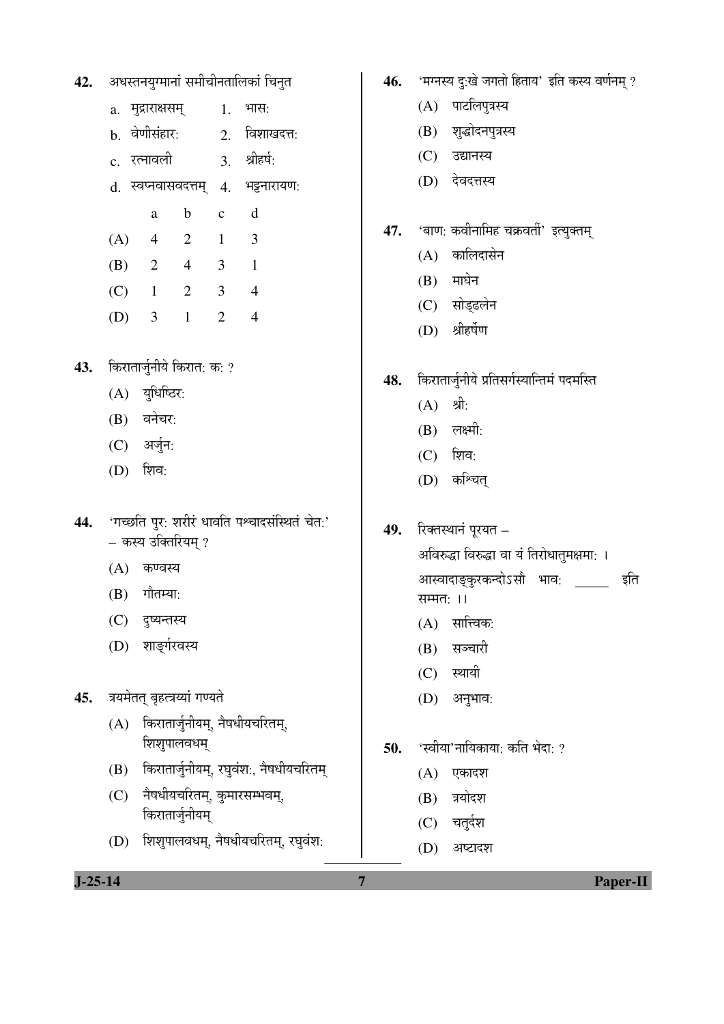| 42. | अधस्तनयुग्मानां समीचीनतालिकां चिनुत |  |  |
|-----|-------------------------------------|--|--|
|     |                                     |  |  |

- $a.$  मुद्राराक्षसम्  $1.$  भास:
- b. वेणीसंहार: 2. विशाखदत्त:
- $\rm c$  रत्नावली  $\rm c$  श्रीहर्ष:
- d. स्वप्नवासवदत्तम् 4. भट्टनारायण:
- a b c d
	- (A) 4 2 1 3 (B) 2 4 3 1
	- (C) 1 2 3 4
	- (D) 3 1 2 4
- 43. किरातार्जुनीये किरात: क: ?
	- $(A)$  युधिष्ठिर:
	- $(B)$  वनेचर:
	- (C) अर्जुन:
	- (D) शिव:
- 44. 'गच्छति पुर: शरीरं धावति पश्चादसंस्थितं चेत:' – कस्य उक्तिरियम ?
	- $(A)$  कण्वस्य
	- $(B)$  गौतम्या:
	- (C) दष्यन्तस्य
	- (D) शाङर्गरवस्य
- 45. त्रयमेतत् बृहत्त्रय्यां गण्यते
	- $(A)$  किरातार्जुनीयम्, नैषधीयचरितम्, शिशुपालवधम्
	- (B) किरातार्जुनीयम्, रघुवंश:, नैषधीयचरितम्
	- (C) नैषधीयचरितम्, कुमारसम्भवम्, किरातार्जुनीयम्
	- (D) शिशुपालवधम्, नैषधीयचरितम्, रघुवंश:
- 46. 'मग्नस्य दुःखे जगतो हिताय' इति कस्य वर्णनम् ?
	- $(A)$  पाटलिपुत्रस्य
	- (B) श्*द्धोदनपुत्रस्य*
	- (C) उद्यानस्य
	- (D) देवदत्तस्य
- 47. 'बाण: कवीनामिह चक्रवर्ती' इत्युक्तम्
	- $(A)$  कालिदासेन
	- $(B)$  माघेन
	- (C) सोड्ढलेन
	- (D) श्रीहर्षेण
- 48. किरातार्जुनीये प्रतिसर्गस्यान्तिमं पदमस्ति
	- $(A)$  श्री:
	- $(B)$  लक्ष्मी:
	- $(C)$  शिव:
	- (D) कश्चित्
- **49.** रिक्तस्थानं पूरयत अविरुद्धा विरुद्धा वा यं तिरोधातुमक्षमा: । आस्वादाङ्कुरकन्दोऽसौ भाव: \_\_\_\_\_\_\_ इति सम्मत:  $||$ 
	- $(A)$  सात्त्विक:
	- (B) सञ्चारी
	- $(C)$  स्थायी
	- $(D)$  अनुभाव:
- **50.** 'स्वीया'नायिकाया: कति भेदा: ?
	- $(A)$  एकादश
	- (B) त्रयोदश
	- $(C)$  चतुर्दश
	- (D) अष्टादश